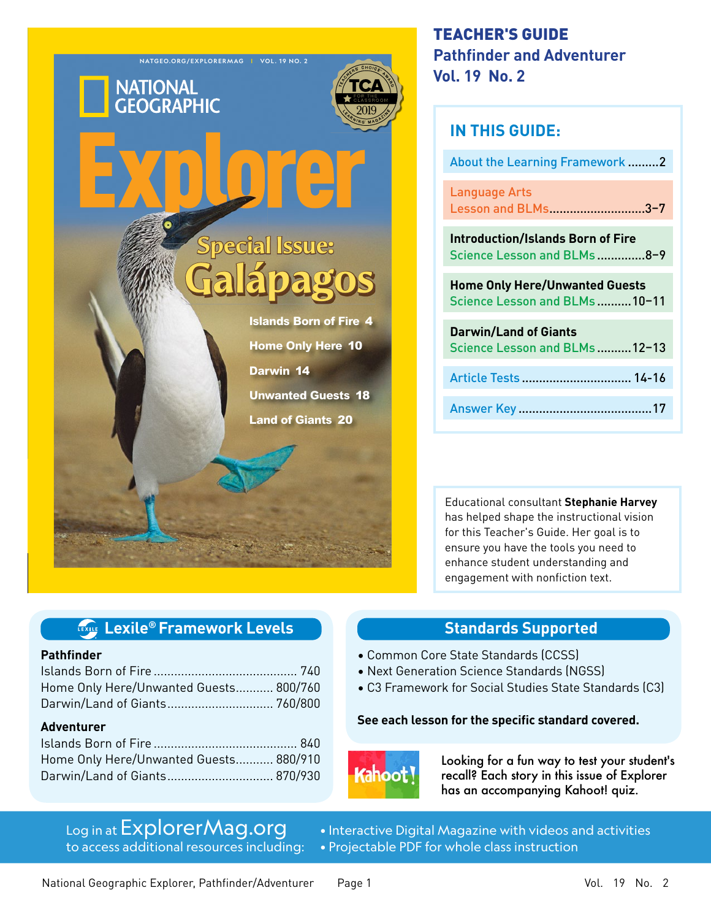

# TEACHER'S GUIDE **Pathfinder and Adventurer Vol. 19 No. 2**

| <b>IN THIS GUIDE:</b>                                                   |  |  |
|-------------------------------------------------------------------------|--|--|
| <b>About the Learning Framework 2</b>                                   |  |  |
| <b>Language Arts</b><br>Lesson and BLMs3-7                              |  |  |
| <b>Introduction/Islands Born of Fire</b><br>Science Lesson and BLMs 8-9 |  |  |
| <b>Home Only Here/Unwanted Guests</b><br>Science Lesson and BLMs 10-11  |  |  |
|                                                                         |  |  |
| <b>Darwin/Land of Giants</b><br>Science Lesson and BLMs 12-13           |  |  |
| Article Tests  14-16                                                    |  |  |

Educational consultant **Stephanie Harvey**  has helped shape the instructional vision for this Teacher's Guide. Her goal is to ensure you have the tools you need to enhance student understanding and engagement with nonfiction text.

## **Standards Supported**

- Common Core State Standards (CCSS)
- Next Generation Science Standards (NGSS)
- C3 Framework for Social Studies State Standards (C3)

### **See each lesson for the specific standard covered.**



Looking for a fun way to test your student's recall? Each story in this issue of Explorer has an accompanying Kahoot! quiz.

# Log in at ExplorerMag.org

to access additional resources including:

**Lexile® Framework Levels**

Islands Born of Fire .......................................... 740 Home Only Here/Unwanted Guests........... 800/760 Darwin/Land of Giants ............................... 760/800

Islands Born of Fire .......................................... 840 Home Only Here/Unwanted Guests........... 880/910 Darwin/Land of Giants ............................... 870/930

**Pathfinder**

**Adventurer**

• Interactive Digital Magazine with videos and activities • Projectable PDF for whole class instruction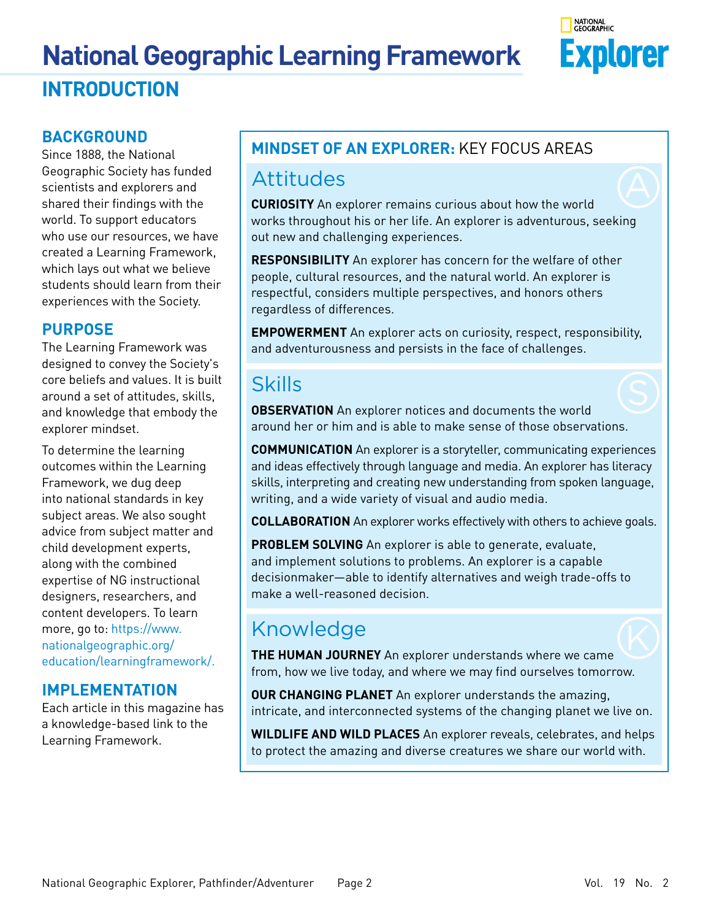# **National Geographic Learning Framework INTRODUCTION**



## **BACKGROUND**

Since 1888, the National Geographic Society has funded scientists and explorers and shared their findings with the world. To support educators who use our resources, we have created a Learning Framework, which lays out what we believe students should learn from their experiences with the Society.

## **PURPOSE**

The Learning Framework was designed to convey the Society's core beliefs and values. It is built around a set of attitudes, skills, and knowledge that embody the explorer mindset.

To determine the learning outcomes within the Learning Framework, we dug deep into national standards in key subject areas. We also sought advice from subject matter and child development experts, along with the combined expertise of NG instructional designers, researchers, and content developers. To learn more, go to: [https://www.](https://www.nationalgeographic.org/education/learningframework/) [nationalgeographic.org/](https://www.nationalgeographic.org/education/learningframework/) [education/learningframework/](https://www.nationalgeographic.org/education/learningframework/).

## **IMPLEMENTATION**

Each article in this magazine has a knowledge-based link to the Learning Framework.

# **MINDSET OF AN EXPLORER:** KEY FOCUS AREAS

# Attitudes

**CURIOSITY** An explorer remains curious about how the world works throughout his or her life. An explorer is adventurous, seeking out new and challenging experiences.

**RESPONSIBILITY** An explorer has concern for the welfare of other people, cultural resources, and the natural world. An explorer is respectful, considers multiple perspectives, and honors others regardless of differences.

**EMPOWERMENT** An explorer acts on curiosity, respect, responsibility, and adventurousness and persists in the face of challenges.

# Skills

**OBSERVATION** An explorer notices and documents the world around her or him and is able to make sense of those observations.

**COMMUNICATION** An explorer is a storyteller, communicating experiences and ideas effectively through language and media. An explorer has literacy skills, interpreting and creating new understanding from spoken language, writing, and a wide variety of visual and audio media.

**COLLABORATION** An explorer works effectively with others to achieve goals.

**PROBLEM SOLVING** An explorer is able to generate, evaluate, and implement solutions to problems. An explorer is a capable decisionmaker—able to identify alternatives and weigh trade-offs to make a well-reasoned decision.

# Knowledge

**THE HUMAN JOURNEY** An explorer understands where we came from, how we live today, and where we may find ourselves tomorrow.

**OUR CHANGING PLANET** An explorer understands the amazing, intricate, and interconnected systems of the changing planet we live on.

**WILDLIFE AND WILD PLACES** An explorer reveals, celebrates, and helps to protect the amazing and diverse creatures we share our world with.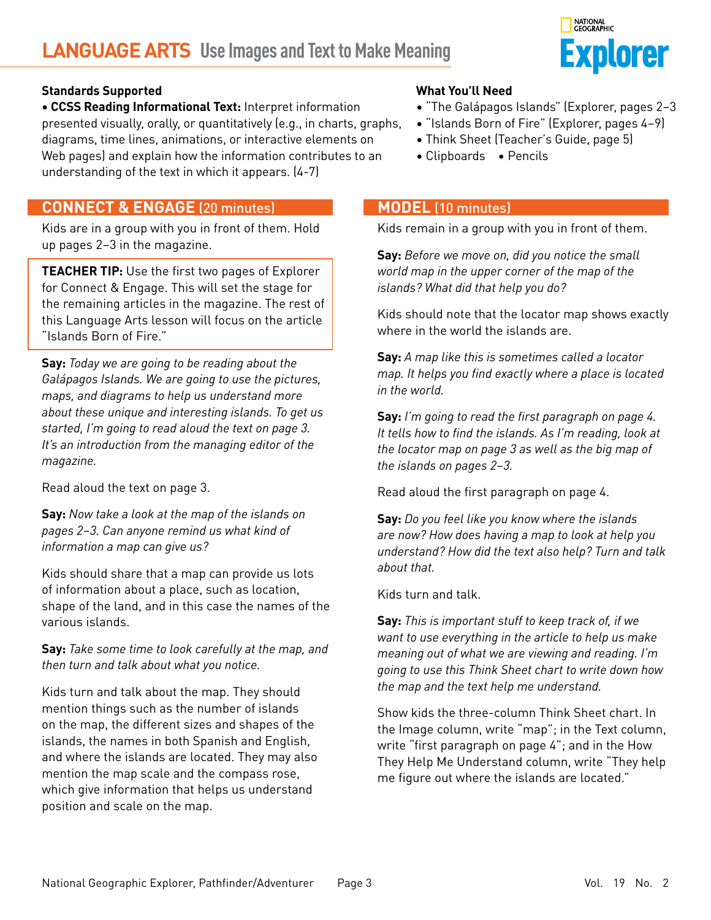# **LANGUAGE ARTS Use Images and Text to Make Meaning**



### **Standards Supported**

**• CCSS Reading Informational Text:** Interpret information presented visually, orally, or quantitatively (e.g., in charts, graphs, diagrams, time lines, animations, or interactive elements on Web pages) and explain how the information contributes to an understanding of the text in which it appears. (4-7)

### **CONNECT & ENGAGE** (20 minutes)

Kids are in a group with you in front of them. Hold up pages 2–3 in the magazine.

**TEACHER TIP:** Use the first two pages of Explorer for Connect & Engage. This will set the stage for the remaining articles in the magazine. The rest of this Language Arts lesson will focus on the article "Islands Born of Fire."

**Say:** *Today we are going to be reading about the Galápagos Islands. We are going to use the pictures, maps, and diagrams to help us understand more about these unique and interesting islands. To get us started, I'm going to read aloud the text on page 3. It's an introduction from the managing editor of the magazine.*

Read aloud the text on page 3.

**Say:** *Now take a look at the map of the islands on pages 2–3. Can anyone remind us what kind of information a map can give us?*

Kids should share that a map can provide us lots of information about a place, such as location, shape of the land, and in this case the names of the various islands.

**Say:** *Take some time to look carefully at the map, and then turn and talk about what you notice.* 

Kids turn and talk about the map. They should mention things such as the number of islands on the map, the different sizes and shapes of the islands, the names in both Spanish and English, and where the islands are located. They may also mention the map scale and the compass rose, which give information that helps us understand position and scale on the map.

### **What You'll Need**

- "The Galápagos Islands" (Explorer, pages 2–3
- "Islands Born of Fire" (Explorer, pages 4–9)
- Think Sheet (Teacher's Guide, page 5)
- Clipboards Pencils

### **MODEL** (10 minutes)

Kids remain in a group with you in front of them.

**Say:** *Before we move on, did you notice the small world map in the upper corner of the map of the islands? What did that help you do?*

Kids should note that the locator map shows exactly where in the world the islands are.

**Say:** *A map like this is sometimes called a locator map. It helps you find exactly where a place is located in the world.*

**Say:** *I'm going to read the first paragraph on page 4. It tells how to find the islands. As I'm reading, look at the locator map on page 3 as well as the big map of the islands on pages 2–3.*

Read aloud the first paragraph on page 4.

**Say:** *Do you feel like you know where the islands are now? How does having a map to look at help you understand? How did the text also help? Turn and talk about that.*

Kids turn and talk.

**Say:** *This is important stuff to keep track of, if we want to use everything in the article to help us make meaning out of what we are viewing and reading. I'm going to use this Think Sheet chart to write down how the map and the text help me understand.*

Show kids the three-column Think Sheet chart. In the Image column, write "map"; in the Text column, write "first paragraph on page 4"; and in the How They Help Me Understand column, write "They help me figure out where the islands are located."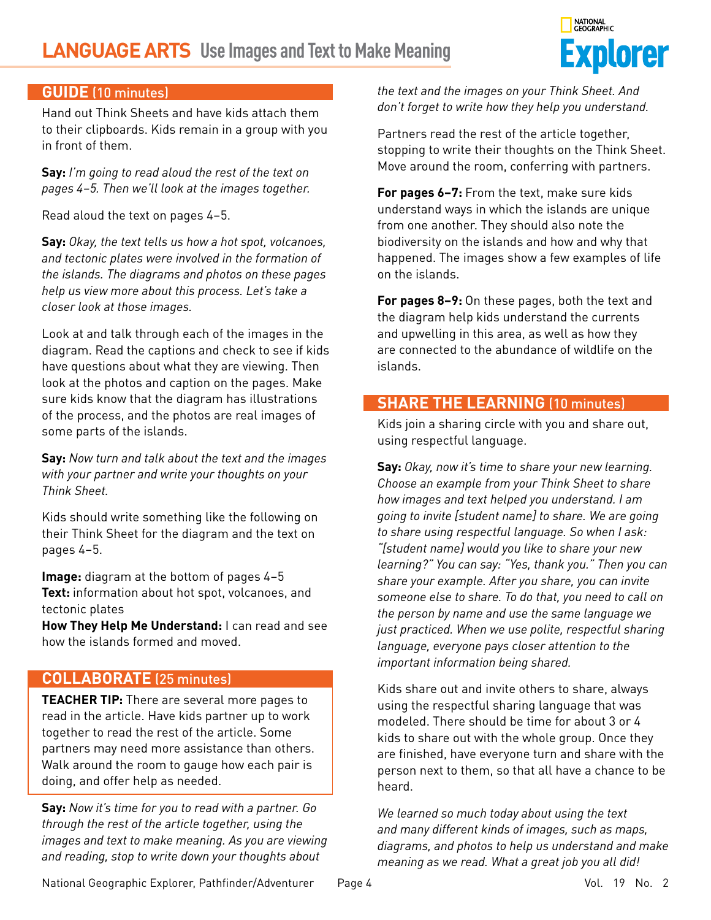# **LANGUAGE ARTS Use Images and Text to Make Meaning**



### **GUIDE** (10 minutes)

Hand out Think Sheets and have kids attach them to their clipboards. Kids remain in a group with you in front of them.

**Say:** *I'm going to read aloud the rest of the text on pages 4–5. Then we'll look at the images together.*

Read aloud the text on pages 4–5.

**Say:** *Okay, the text tells us how a hot spot, volcanoes, and tectonic plates were involved in the formation of the islands. The diagrams and photos on these pages help us view more about this process. Let's take a closer look at those images.*

Look at and talk through each of the images in the diagram. Read the captions and check to see if kids have questions about what they are viewing. Then look at the photos and caption on the pages. Make sure kids know that the diagram has illustrations of the process, and the photos are real images of some parts of the islands.

**Say:** *Now turn and talk about the text and the images with your partner and write your thoughts on your Think Sheet.*

Kids should write something like the following on their Think Sheet for the diagram and the text on pages 4–5.

**Image:** diagram at the bottom of pages 4–5 **Text:** information about hot spot, volcanoes, and tectonic plates

**How They Help Me Understand:** I can read and see how the islands formed and moved.

### **COLLABORATE** (25 minutes)

**TEACHER TIP:** There are several more pages to read in the article. Have kids partner up to work together to read the rest of the article. Some partners may need more assistance than others. Walk around the room to gauge how each pair is doing, and offer help as needed.

**Say:** *Now it's time for you to read with a partner. Go through the rest of the article together, using the images and text to make meaning. As you are viewing and reading, stop to write down your thoughts about* 

*the text and the images on your Think Sheet. And don't forget to write how they help you understand.*

Partners read the rest of the article together, stopping to write their thoughts on the Think Sheet. Move around the room, conferring with partners.

**For pages 6–7:** From the text, make sure kids understand ways in which the islands are unique from one another. They should also note the biodiversity on the islands and how and why that happened. The images show a few examples of life on the islands.

**For pages 8–9:** On these pages, both the text and the diagram help kids understand the currents and upwelling in this area, as well as how they are connected to the abundance of wildlife on the islands.

### **SHARE THE LEARNING** (10 minutes)

Kids join a sharing circle with you and share out, using respectful language.

**Say:** *Okay, now it's time to share your new learning. Choose an example from your Think Sheet to share how images and text helped you understand. I am going to invite [student name] to share. We are going to share using respectful language. So when I ask: "[student name] would you like to share your new learning?" You can say: "Yes, thank you." Then you can share your example. After you share, you can invite someone else to share. To do that, you need to call on the person by name and use the same language we just practiced. When we use polite, respectful sharing language, everyone pays closer attention to the important information being shared.* 

Kids share out and invite others to share, always using the respectful sharing language that was modeled. There should be time for about 3 or 4 kids to share out with the whole group. Once they are finished, have everyone turn and share with the person next to them, so that all have a chance to be heard.

*We learned so much today about using the text and many different kinds of images, such as maps, diagrams, and photos to help us understand and make meaning as we read. What a great job you all did!*

National Geographic Explorer, Pathfinder/Adventurer Page 4 Vol. 19 No. 2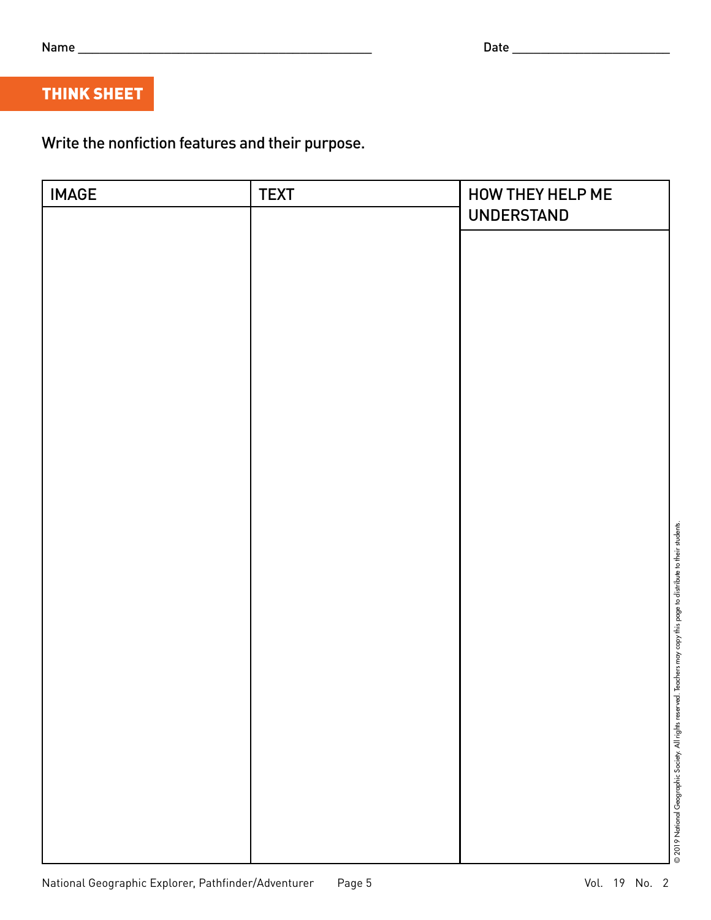| I<br>۰.<br>. .<br>۰.<br>×<br>. . |  |
|----------------------------------|--|
|                                  |  |

# THINK SHEET

Write the nonfiction features and their purpose.

| <b>IMAGE</b> | <b>TEXT</b> | HOW THEY HELP ME<br><b>UNDERSTAND</b>                                                                                 |
|--------------|-------------|-----------------------------------------------------------------------------------------------------------------------|
|              |             |                                                                                                                       |
|              |             |                                                                                                                       |
|              |             |                                                                                                                       |
|              |             |                                                                                                                       |
|              |             |                                                                                                                       |
|              |             |                                                                                                                       |
|              |             |                                                                                                                       |
|              |             |                                                                                                                       |
|              |             |                                                                                                                       |
|              |             |                                                                                                                       |
|              |             |                                                                                                                       |
|              |             |                                                                                                                       |
|              |             |                                                                                                                       |
|              |             |                                                                                                                       |
|              |             |                                                                                                                       |
|              |             |                                                                                                                       |
|              |             | © 2019 National Geographic Society. All rights reserved. Teachers may copy this page to distribute to their students. |
|              |             |                                                                                                                       |
|              |             |                                                                                                                       |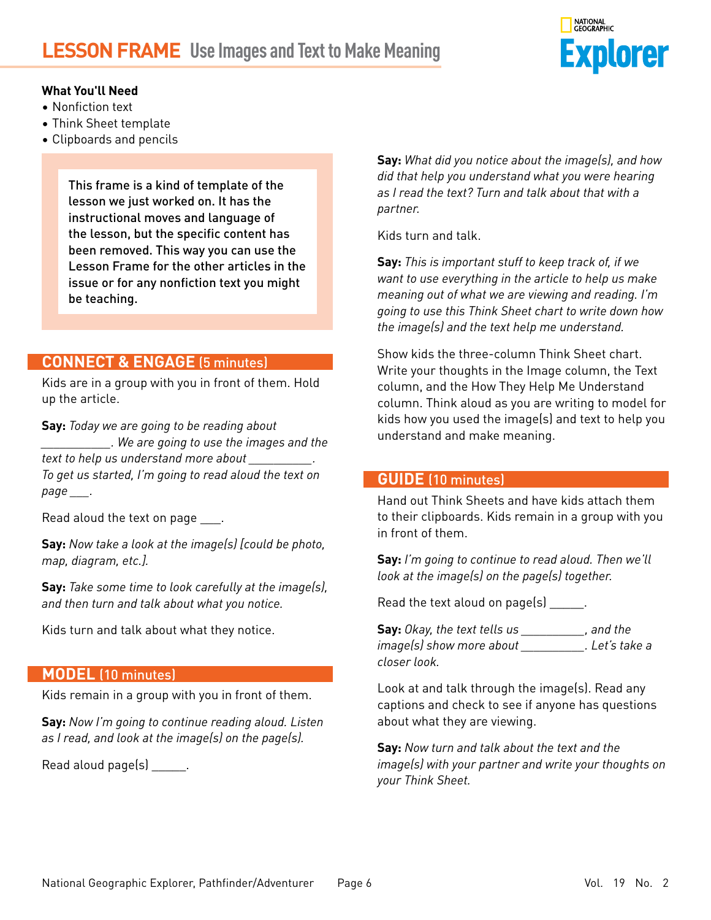# **LESSON FRAME Use Images and Text to Make Meaning**



### **What You'll Need**

- Nonfiction text
- Think Sheet template
- Clipboards and pencils

This frame is a kind of template of the lesson we just worked on. It has the instructional moves and language of the lesson, but the specific content has been removed. This way you can use the Lesson Frame for the other articles in the issue or for any nonfiction text you might be teaching.

### **CONNECT & ENGAGE** (5 minutes)

Kids are in a group with you in front of them. Hold up the article.

**Say:** *Today we are going to be reading about \_\_\_\_\_\_\_\_\_\_\_. We are going to use the images and the text to help us understand more about \_\_\_\_\_\_\_\_\_\_. To get us started, I'm going to read aloud the text on page \_\_\_.*

Read aloud the text on page \_\_\_\_.

**Say:** *Now take a look at the image(s) [could be photo, map, diagram, etc.].* 

**Say:** *Take some time to look carefully at the image(s), and then turn and talk about what you notice.* 

Kids turn and talk about what they notice.

### **MODEL** (10 minutes)

Kids remain in a group with you in front of them.

**Say:** *Now I'm going to continue reading aloud. Listen as I read, and look at the image(s) on the page(s).*

Read aloud page(s) \_\_\_\_\_\_.

**Say:** *What did you notice about the image(s), and how did that help you understand what you were hearing as I read the text? Turn and talk about that with a partner.*

Kids turn and talk.

**Say:** *This is important stuff to keep track of, if we want to use everything in the article to help us make meaning out of what we are viewing and reading. I'm going to use this Think Sheet chart to write down how the image(s) and the text help me understand.*

Show kids the three-column Think Sheet chart. Write your thoughts in the Image column, the Text column, and the How They Help Me Understand column. Think aloud as you are writing to model for kids how you used the image(s) and text to help you understand and make meaning.

### **GUIDE** (10 minutes)

Hand out Think Sheets and have kids attach them to their clipboards. Kids remain in a group with you in front of them.

**Say:** *I'm going to continue to read aloud. Then we'll look at the image(s) on the page(s) together.*

Read the text aloud on page(s) \_\_\_\_\_\_.

**Say:** *Okay, the text tells us \_\_\_\_\_\_\_\_\_\_, and the image(s) show more about \_\_\_\_\_\_\_\_\_\_. Let's take a closer look.*

Look at and talk through the image(s). Read any captions and check to see if anyone has questions about what they are viewing.

**Say:** *Now turn and talk about the text and the image(s) with your partner and write your thoughts on your Think Sheet.*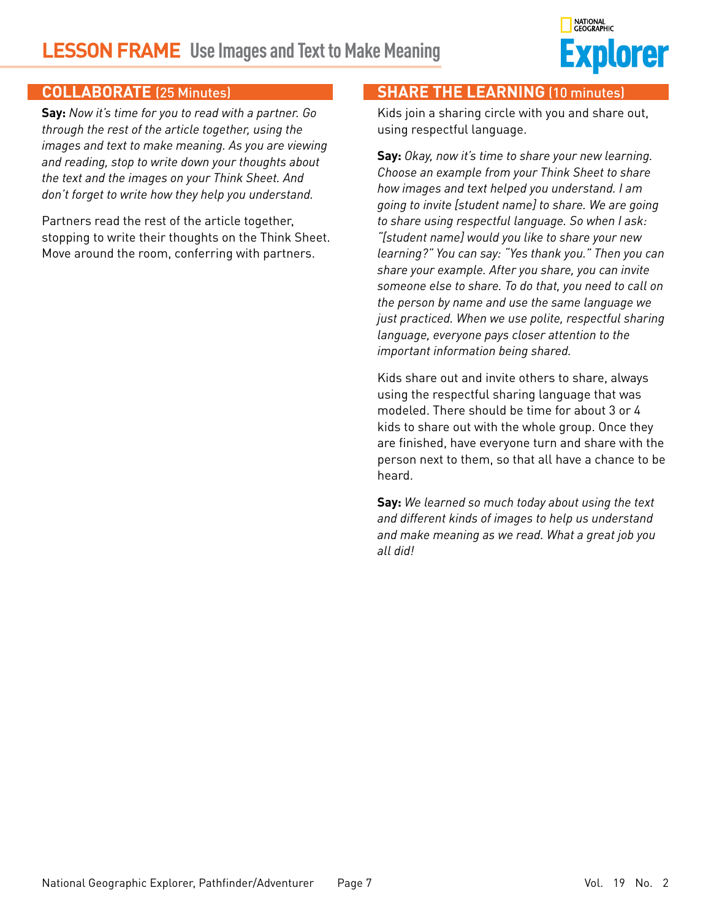# **LESSON FRAME Use Images and Text to Make Meaning**



### **COLLABORATE** (25 Minutes)

**Say:** *Now it's time for you to read with a partner. Go through the rest of the article together, using the images and text to make meaning. As you are viewing and reading, stop to write down your thoughts about the text and the images on your Think Sheet. And don't forget to write how they help you understand.*

Partners read the rest of the article together, stopping to write their thoughts on the Think Sheet. Move around the room, conferring with partners.

### **SHARE THE LEARNING** (10 minutes)

Kids join a sharing circle with you and share out, using respectful language.

**Say:** *Okay, now it's time to share your new learning. Choose an example from your Think Sheet to share how images and text helped you understand. I am going to invite [student name] to share. We are going to share using respectful language. So when I ask: "[student name] would you like to share your new learning?" You can say: "Yes thank you." Then you can share your example. After you share, you can invite someone else to share. To do that, you need to call on the person by name and use the same language we just practiced. When we use polite, respectful sharing language, everyone pays closer attention to the important information being shared.* 

Kids share out and invite others to share, always using the respectful sharing language that was modeled. There should be time for about 3 or 4 kids to share out with the whole group. Once they are finished, have everyone turn and share with the person next to them, so that all have a chance to be heard.

**Say:** *We learned so much today about using the text and different kinds of images to help us understand and make meaning as we read. What a great job you all did!*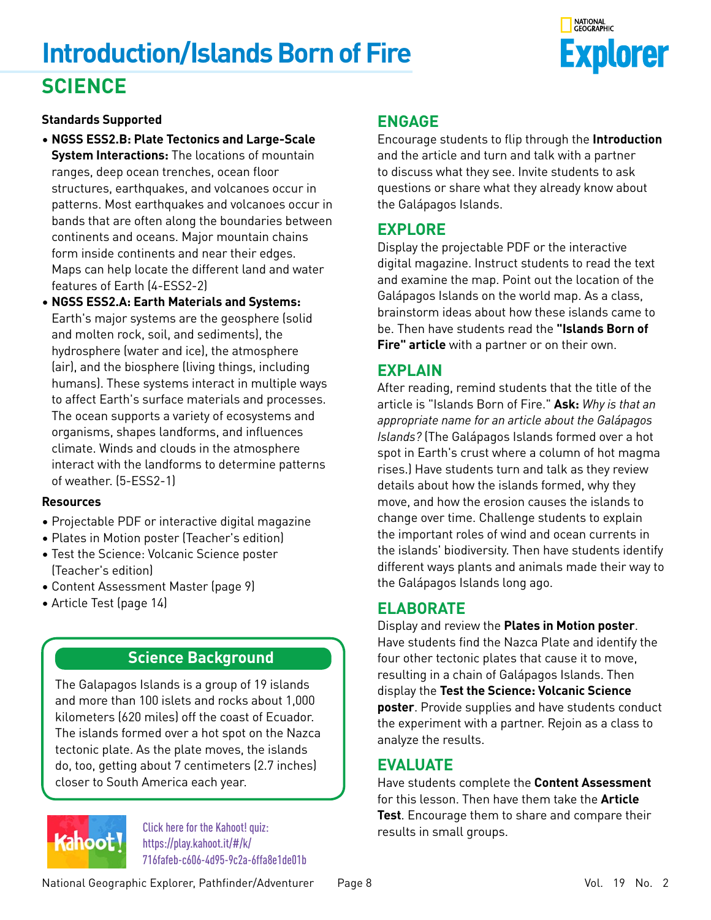# **Introduction/Islands Born of Fire SCIENCE**



### **Standards Supported**

- **NGSS ESS2.B: Plate Tectonics and Large-Scale System Interactions:** The locations of mountain ranges, deep ocean trenches, ocean floor structures, earthquakes, and volcanoes occur in patterns. Most earthquakes and volcanoes occur in bands that are often along the boundaries between continents and oceans. Major mountain chains form inside continents and near their edges. Maps can help locate the different land and water features of Earth (4-ESS2-2)
- **NGSS ESS2.A: Earth Materials and Systems:**  Earth's major systems are the geosphere (solid and molten rock, soil, and sediments), the hydrosphere (water and ice), the atmosphere (air), and the biosphere (living things, including humans). These systems interact in multiple ways to affect Earth's surface materials and processes. The ocean supports a variety of ecosystems and organisms, shapes landforms, and influences climate. Winds and clouds in the atmosphere interact with the landforms to determine patterns of weather. (5-ESS2-1)

### **Resources**

- Projectable PDF or interactive digital magazine
- Plates in Motion poster (Teacher's edition)
- Test the Science: Volcanic Science poster (Teacher's edition)
- Content Assessment Master (page 9)
- Article Test (page 14)

### **Science Background**

The Galapagos Islands is a group of 19 islands and more than 100 islets and rocks about 1,000 kilometers (620 miles) off the coast of Ecuador. The islands formed over a hot spot on the Nazca tectonic plate. As the plate moves, the islands do, too, getting about 7 centimeters (2.7 inches) closer to South America each year.



results in small groups. Click here for the Kahoot! quiz: https://play.kahoot.it/#/k/ [716fafeb-c606-4d95-9c2a-6ffa8e1de01b](https://play.kahoot.it/#/k/716fafeb-c606-4d95-9c2a-6ffa8e1de01b)

## **ENGAGE**

Encourage students to flip through the **Introduction** and the article and turn and talk with a partner to discuss what they see. Invite students to ask questions or share what they already know about the Galápagos Islands.

## **EXPLORE**

Display the projectable PDF or the interactive digital magazine. Instruct students to read the text and examine the map. Point out the location of the Galápagos Islands on the world map. As a class, brainstorm ideas about how these islands came to be. Then have students read the **"Islands Born of Fire" article** with a partner or on their own.

## **EXPLAIN**

After reading, remind students that the title of the article is "Islands Born of Fire." **Ask:** *Why is that an appropriate name for an article about the Galápagos Islands?* (The Galápagos Islands formed over a hot spot in Earth's crust where a column of hot magma rises.) Have students turn and talk as they review details about how the islands formed, why they move, and how the erosion causes the islands to change over time. Challenge students to explain the important roles of wind and ocean currents in the islands' biodiversity. Then have students identify different ways plants and animals made their way to the Galápagos Islands long ago.

## **ELABORATE**

Display and review the **Plates in Motion poster**. Have students find the Nazca Plate and identify the four other tectonic plates that cause it to move, resulting in a chain of Galápagos Islands. Then display the **Test the Science: Volcanic Science poster**. Provide supplies and have students conduct the experiment with a partner. Rejoin as a class to analyze the results.

## **EVALUATE**

Have students complete the **Content Assessment**  for this lesson. Then have them take the **Article Test**. Encourage them to share and compare their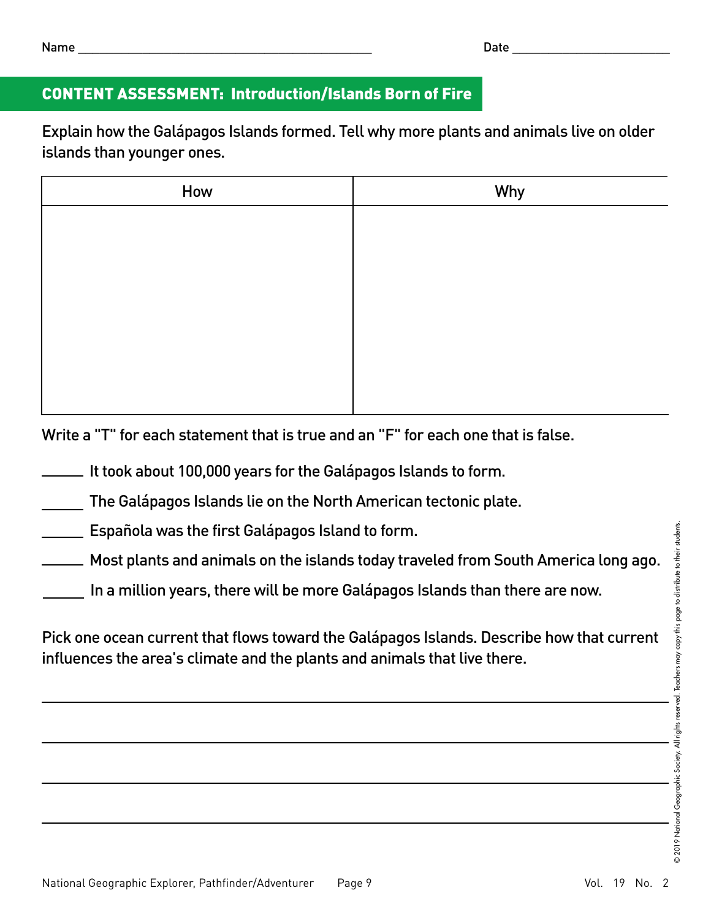# CONTENT ASSESSMENT: Introduction/Islands Born of Fire

Explain how the Galápagos Islands formed. Tell why more plants and animals live on older islands than younger ones.

| How | Why |
|-----|-----|
|     |     |
|     |     |
|     |     |
|     |     |
|     |     |
|     |     |
|     |     |

Write a "T" for each statement that is true and an "F" for each one that is false.

It took about 100,000 years for the Galápagos Islands to form.

The Galápagos Islands lie on the North American tectonic plate.

**Española was the first Galápagos Island to form.** 

Most plants and animals on the islands today traveled from South America long ago.

In a million years, there will be more Galápagos Islands than there are now.

Pick one ocean current that flows toward the Galápagos Islands. Describe how that current influences the area's climate and the plants and animals that live there.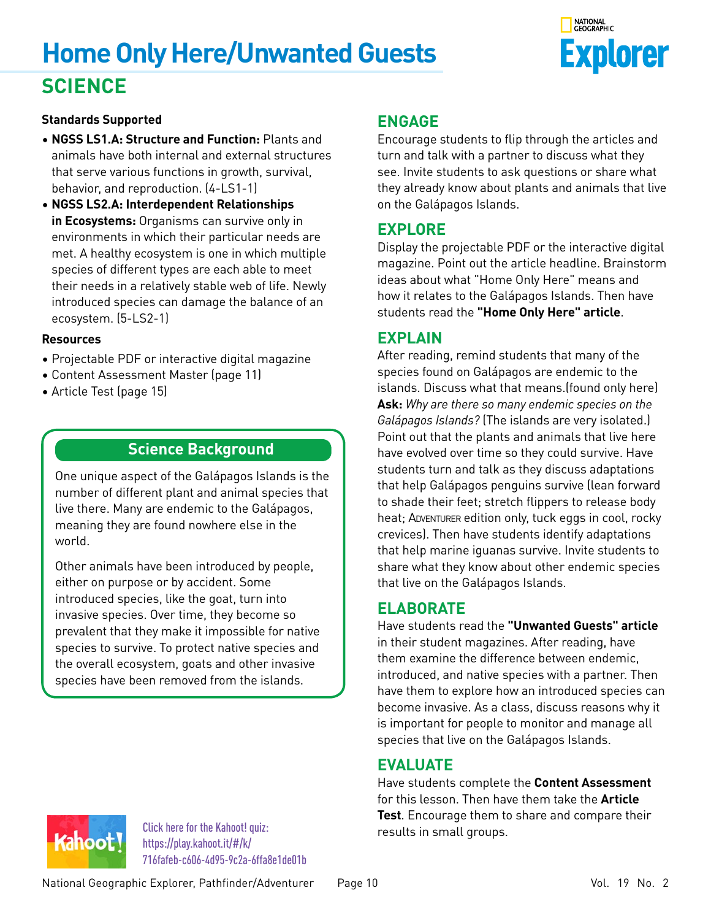# **Home Only Here/Unwanted Guests SCIENCE**



### **Standards Supported**

- **NGSS LS1.A: Structure and Function:** Plants and animals have both internal and external structures that serve various functions in growth, survival, behavior, and reproduction. (4-LS1-1)
- **NGSS LS2.A: Interdependent Relationships in Ecosystems:** Organisms can survive only in environments in which their particular needs are met. A healthy ecosystem is one in which multiple species of different types are each able to meet their needs in a relatively stable web of life. Newly introduced species can damage the balance of an ecosystem. (5-LS2-1)

### **Resources**

- Projectable PDF or interactive digital magazine
- Content Assessment Master (page 11)
- Article Test (page 15)

### **Science Background**

One unique aspect of the Galápagos Islands is the number of different plant and animal species that live there. Many are endemic to the Galápagos, meaning they are found nowhere else in the world.

Other animals have been introduced by people, either on purpose or by accident. Some introduced species, like the goat, turn into invasive species. Over time, they become so prevalent that they make it impossible for native species to survive. To protect native species and the overall ecosystem, goats and other invasive species have been removed from the islands.

### **ENGAGE**

Encourage students to flip through the articles and turn and talk with a partner to discuss what they see. Invite students to ask questions or share what they already know about plants and animals that live on the Galápagos Islands.

## **EXPLORE**

Display the projectable PDF or the interactive digital magazine. Point out the article headline. Brainstorm ideas about what "Home Only Here" means and how it relates to the Galápagos Islands. Then have students read the **"Home Only Here" article**.

### **EXPLAIN**

After reading, remind students that many of the species found on Galápagos are endemic to the islands. Discuss what that means.(found only here) **Ask:** *Why are there so many endemic species on the Galápagos Islands?* (The islands are very isolated.) Point out that the plants and animals that live here have evolved over time so they could survive. Have students turn and talk as they discuss adaptations that help Galápagos penguins survive (lean forward to shade their feet; stretch flippers to release body heat; ADVENTURER edition only, tuck eggs in cool, rocky crevices). Then have students identify adaptations that help marine iguanas survive. Invite students to share what they know about other endemic species that live on the Galápagos Islands.

### **ELABORATE**

Have students read the **"Unwanted Guests" article** in their student magazines. After reading, have them examine the difference between endemic, introduced, and native species with a partner. Then have them to explore how an introduced species can become invasive. As a class, discuss reasons why it is important for people to monitor and manage all species that live on the Galápagos Islands.

### **EVALUATE**

Have students complete the **Content Assessment** for this lesson. Then have them take the **Article Test**. Encourage them to share and compare their



results in small groups. Click here for the Kahoot! quiz: https://play.kahoot.it/#/k/ [716fafeb-c606-4d95-9c2a-6ffa8e1de01b](https://play.kahoot.it/#/k/716fafeb-c606-4d95-9c2a-6ffa8e1de01b)

National Geographic Explorer, Pathfinder/Adventurer Page 10 Vol. 19 No. 2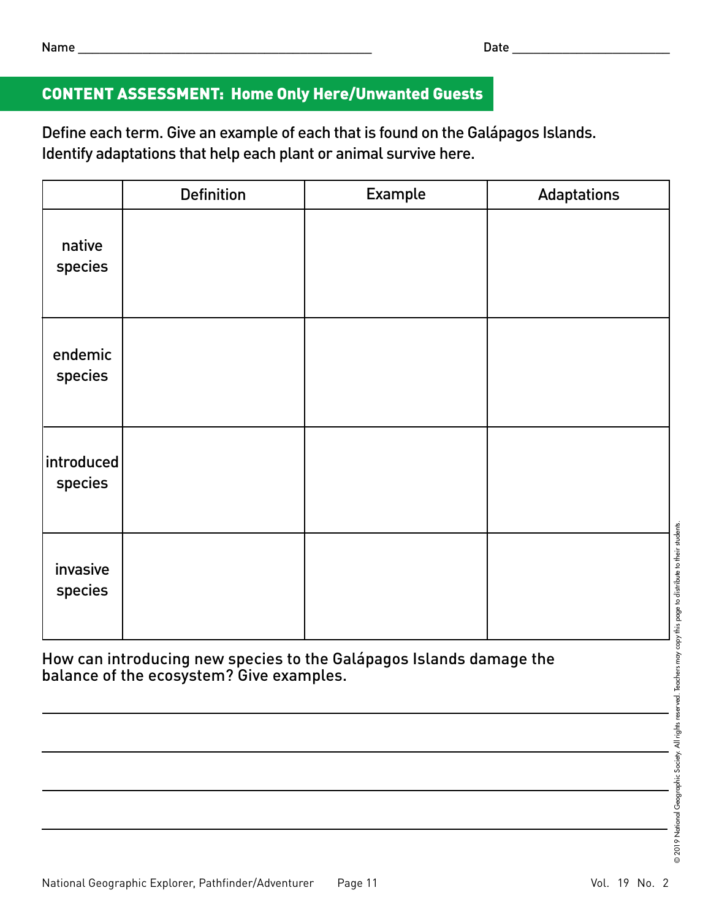# CONTENT ASSESSMENT: Home Only Here/Unwanted Guests

Define each term. Give an example of each that is found on the Galápagos Islands. Identify adaptations that help each plant or animal survive here.

|                        | <b>Definition</b> | Example | <b>Adaptations</b> |
|------------------------|-------------------|---------|--------------------|
| native<br>species      |                   |         |                    |
| endemic<br>species     |                   |         |                    |
| introduced <br>species |                   |         |                    |
| invasive<br>species    |                   |         |                    |

How can introducing new species to the Galápagos Islands damage the balance of the ecosystem? Give examples.

<u> 1989 - Johann Barbara, martxa alemaniar a</u>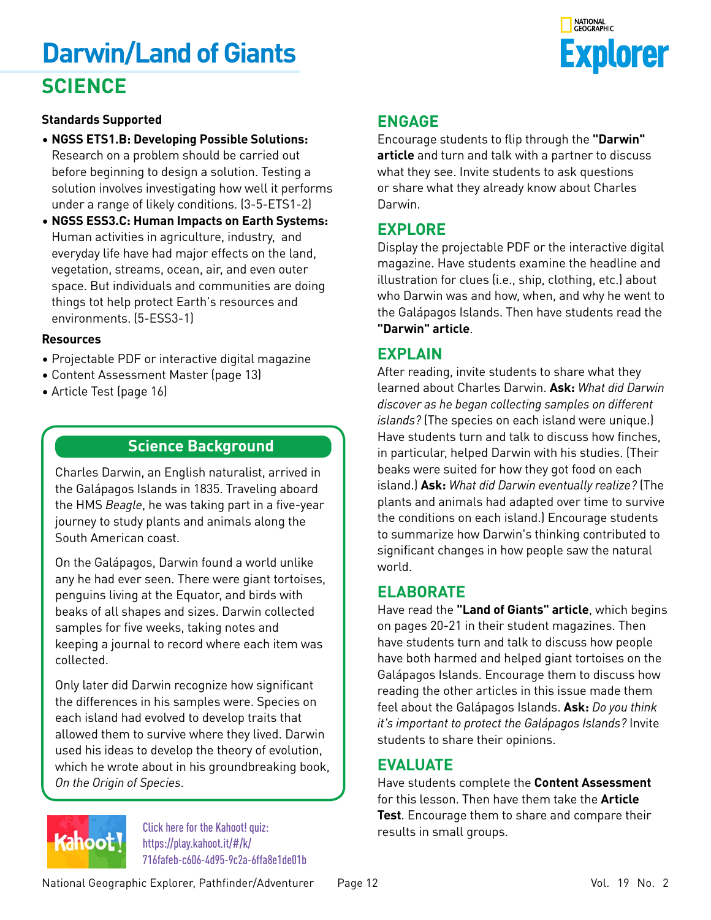# **Darwin/Land of Giants SCIENCE**



### **Standards Supported**

- **NGSS ETS1.B: Developing Possible Solutions:**  Research on a problem should be carried out before beginning to design a solution. Testing a solution involves investigating how well it performs under a range of likely conditions. (3-5-ETS1-2)
- **NGSS ESS3.C: Human Impacts on Earth Systems:** Human activities in agriculture, industry, and everyday life have had major effects on the land, vegetation, streams, ocean, air, and even outer space. But individuals and communities are doing things tot help protect Earth's resources and environments. (5-ESS3-1)

#### **Resources**

- Projectable PDF or interactive digital magazine
- Content Assessment Master (page 13)
- Article Test (page 16)

### **Science Background**

Charles Darwin, an English naturalist, arrived in the Galápagos Islands in 1835. Traveling aboard the HMS *Beagle*, he was taking part in a five-year journey to study plants and animals along the South American coast.

On the Galápagos, Darwin found a world unlike any he had ever seen. There were giant tortoises, penguins living at the Equator, and birds with beaks of all shapes and sizes. Darwin collected samples for five weeks, taking notes and keeping a journal to record where each item was collected.

Only later did Darwin recognize how significant the differences in his samples were. Species on each island had evolved to develop traits that allowed them to survive where they lived. Darwin used his ideas to develop the theory of evolution, which he wrote about in his groundbreaking book, *On the Origin of Species*.

# Kahoot!

results in small groups. Click here for the Kahoot! quiz: https://play.kahoot.it/#/k/ [716fafeb-c606-4d95-9c2a-6ffa8e1de01b](https://play.kahoot.it/#/k/716fafeb-c606-4d95-9c2a-6ffa8e1de01b)

## **ENGAGE**

Encourage students to flip through the **"Darwin" article** and turn and talk with a partner to discuss what they see. Invite students to ask questions or share what they already know about Charles Darwin.

## **EXPLORE**

Display the projectable PDF or the interactive digital magazine. Have students examine the headline and illustration for clues (i.e., ship, clothing, etc.) about who Darwin was and how, when, and why he went to the Galápagos Islands. Then have students read the **"Darwin" article**.

### **EXPLAIN**

After reading, invite students to share what they learned about Charles Darwin. **Ask:** *What did Darwin discover as he began collecting samples on different islands?* (The species on each island were unique.) Have students turn and talk to discuss how finches, in particular, helped Darwin with his studies. (Their beaks were suited for how they got food on each island.) **Ask:** *What did Darwin eventually realize?* (The plants and animals had adapted over time to survive the conditions on each island.) Encourage students to summarize how Darwin's thinking contributed to significant changes in how people saw the natural world.

### **ELABORATE**

Have read the **"Land of Giants" article**, which begins on pages 20-21 in their student magazines. Then have students turn and talk to discuss how people have both harmed and helped giant tortoises on the Galápagos Islands. Encourage them to discuss how reading the other articles in this issue made them feel about the Galápagos Islands. **Ask:** *Do you think it's important to protect the Galápagos Islands?* Invite students to share their opinions.

### **EVALUATE**

Have students complete the **Content Assessment**  for this lesson. Then have them take the **Article Test**. Encourage them to share and compare their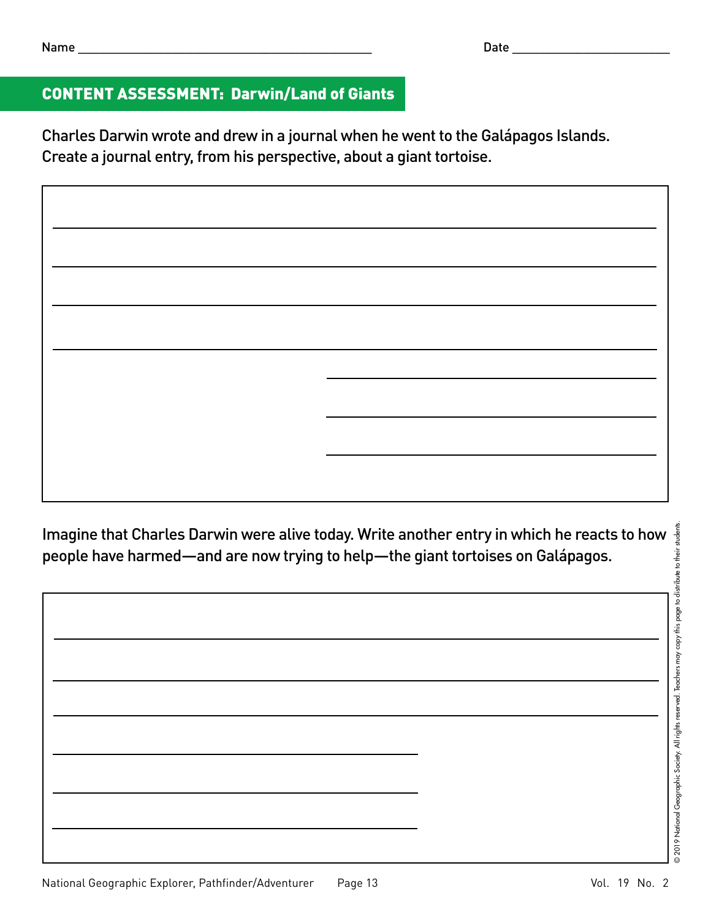# CONTENT ASSESSMENT: Darwin/Land of Giants

Charles Darwin wrote and drew in a journal when he went to the Galápagos Islands. Create a journal entry, from his perspective, about a giant tortoise.

people have harmed—and are now trying to help—the giant tortoises on Galápagos.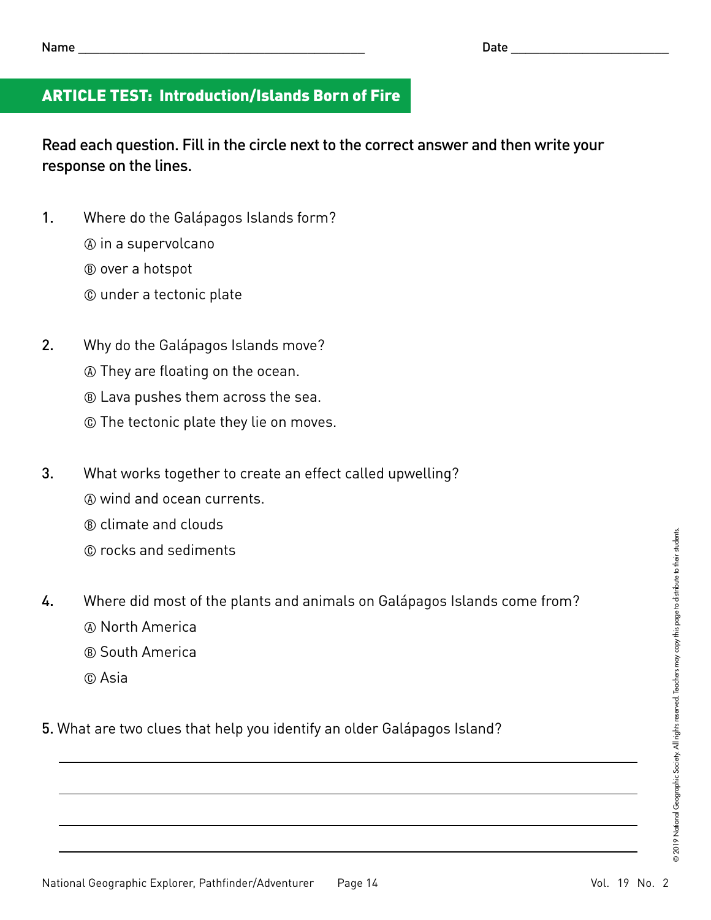# ARTICLE TEST: Introduction/Islands Born of Fire

Read each question. Fill in the circle next to the correct answer and then write your response on the lines.

- 1. Where do the Galápagos Islands form?
	- A in a supervolcano
	- B over a hotspot
	- C under a tectonic plate
- 2. Why do the Galápagos Islands move?
	- A They are floating on the ocean.
	- B Lava pushes them across the sea.
	- C The tectonic plate they lie on moves.
- 3. What works together to create an effect called upwelling?
	- A wind and ocean currents.
	- B climate and clouds
	- C rocks and sediments
- 4. Where did most of the plants and animals on Galápagos Islands come from?
	- A North America
	- B South America
	- C Asia
- 5. What are two clues that help you identify an older Galápagos Island?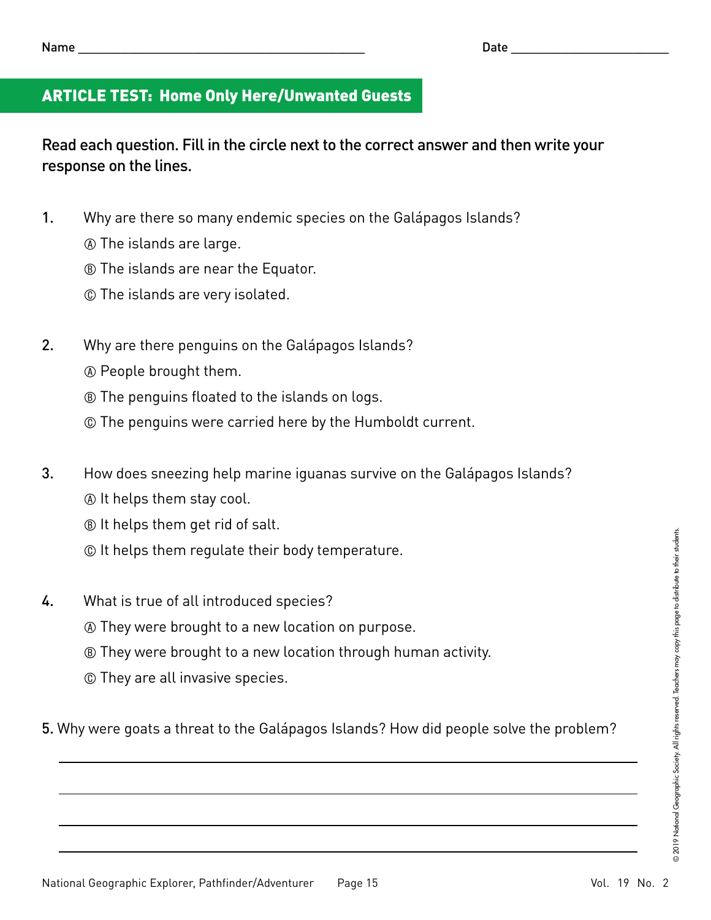# ARTICLE TEST: Home Only Here/Unwanted Guests

Read each question. Fill in the circle next to the correct answer and then write your response on the lines.

- 1. Why are there so many endemic species on the Galápagos Islands?
	- A The islands are large.
	- **® The islands are near the Equator.**
	- C The islands are very isolated.
- 2. Why are there penguins on the Galápagos Islands?
	- A People brought them.
	- **® The penguins floated to the islands on logs.**
	- C The penguins were carried here by the Humboldt current.
- 3. How does sneezing help marine iguanas survive on the Galápagos Islands?
	- A It helps them stay cool.
	- B It helps them get rid of salt.
	- C It helps them regulate their body temperature.
- 4. What is true of all introduced species?
	- A They were brought to a new location on purpose.
	- **B** They were brought to a new location through human activity.
	- C They are all invasive species.
- 5. Why were goats a threat to the Galápagos Islands? How did people solve the problem?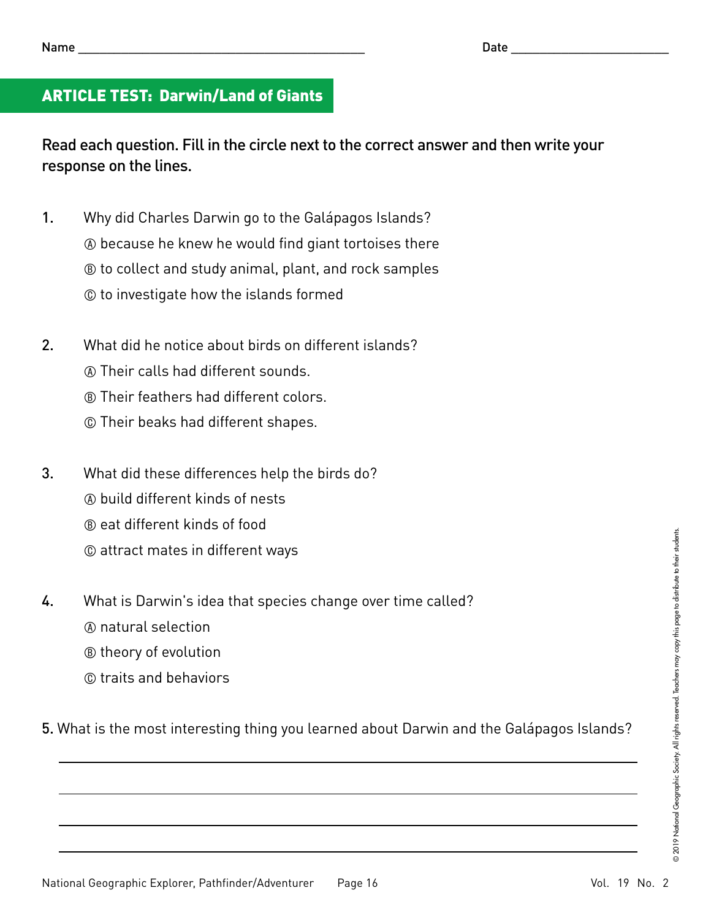# ARTICLE TEST: Darwin/Land of Giants

Read each question. Fill in the circle next to the correct answer and then write your response on the lines.

- 1. Why did Charles Darwin go to the Galápagos Islands?
	- A because he knew he would find giant tortoises there
	- B to collect and study animal, plant, and rock samples
	- C to investigate how the islands formed
- 2. What did he notice about birds on different islands?
	- A Their calls had different sounds.
	- B Their feathers had different colors.
	- C Their beaks had different shapes.
- 3. What did these differences help the birds do?
	- A build different kinds of nests
	- B eat different kinds of food
	- C attract mates in different ways
- 4. What is Darwin's idea that species change over time called?
	- A natural selection
	- B theory of evolution
	- C traits and behaviors

5. What is the most interesting thing you learned about Darwin and the Galápagos Islands?